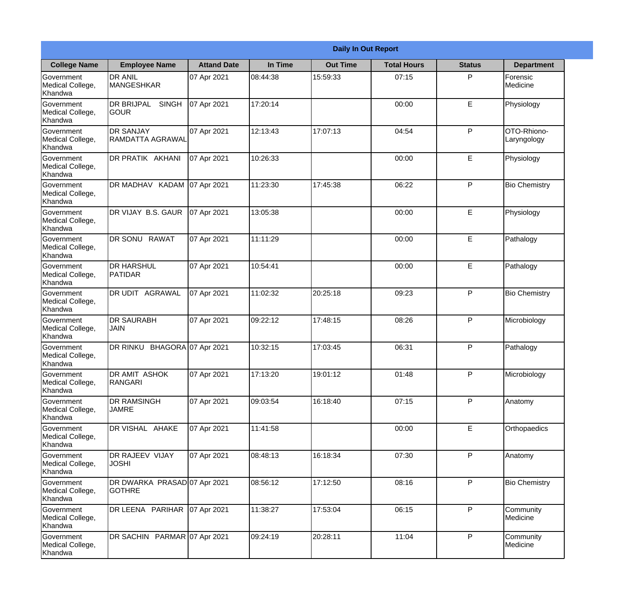|                                                  |                                               |                     |          | <b>Daily In Out Report</b> |                    |               |                            |
|--------------------------------------------------|-----------------------------------------------|---------------------|----------|----------------------------|--------------------|---------------|----------------------------|
| <b>College Name</b>                              | <b>Employee Name</b>                          | <b>Attand Date</b>  | In Time  | <b>Out Time</b>            | <b>Total Hours</b> | <b>Status</b> | <b>Department</b>          |
| Government<br>Medical College,<br>Khandwa        | <b>DR ANIL</b><br><b>MANGESHKAR</b>           | 07 Apr 2021         | 08:44:38 | 15:59:33                   | 07:15              | P             | Forensic<br>Medicine       |
| Government<br>Medical College,<br>Khandwa        | <b>DR BRIJPAL</b><br><b>SINGH</b><br> GOUR    | 07 Apr 2021         | 17:20:14 |                            | 00:00              | E             | Physiology                 |
| <b>Government</b><br>Medical College,<br>Khandwa | <b>DR SANJAY</b><br>RAMDATTA AGRAWAL          | 07 Apr 2021         | 12:13:43 | 17:07:13                   | 04:54              | P             | OTO-Rhiono-<br>Laryngology |
| Government<br>Medical College,<br>Khandwa        | <b>DR PRATIK AKHANI</b>                       | 07 Apr 2021         | 10:26:33 |                            | 00:00              | E             | Physiology                 |
| Government<br>Medical College,<br>Khandwa        | DR MADHAV KADAM 07 Apr 2021                   |                     | 11:23:30 | 17:45:38                   | 06:22              | P             | <b>Bio Chemistry</b>       |
| Government<br>Medical College,<br>Khandwa        | DR VIJAY B.S. GAUR                            | 07 Apr 2021         | 13:05:38 |                            | 00:00              | E             | Physiology                 |
| <b>Government</b><br>Medical College,<br>Khandwa | DR SONU RAWAT                                 | 07 Apr 2021         | 11:11:29 |                            | 00:00              | E             | Pathalogy                  |
| <b>Government</b><br>Medical College,<br>Khandwa | <b>DR HARSHUL</b><br>PATIDAR                  | 07 Apr 2021         | 10:54:41 |                            | 00:00              | E             | Pathalogy                  |
| Government<br>Medical College,<br>Khandwa        | <b>DR UDIT AGRAWAL</b>                        | 07 Apr 2021         | 11:02:32 | 20:25:18                   | 09:23              | P             | <b>Bio Chemistry</b>       |
| Government<br>Medical College,<br>Khandwa        | <b>DR SAURABH</b><br><b>JAIN</b>              | 07 Apr 2021         | 09:22:12 | 17:48:15                   | 08:26              | P             | Microbiology               |
| Government<br>Medical College,<br>Khandwa        | DR RINKU                                      | BHAGORA 07 Apr 2021 | 10:32:15 | 17:03:45                   | 06:31              | $\mathsf{P}$  | Pathalogy                  |
| Government<br>Medical College,<br>Khandwa        | <b>DR AMIT ASHOK</b><br>RANGARI               | 07 Apr 2021         | 17:13:20 | 19:01:12                   | 01:48              | P             | Microbiology               |
| Government<br>Medical College,<br>Khandwa        | <b>DR RAMSINGH</b><br><b>JAMRE</b>            | 07 Apr 2021         | 09:03:54 | 16:18:40                   | 07:15              | P             | Anatomy                    |
| Government<br>Medical College,<br>Khandwa        | DR VISHAL AHAKE                               | 07 Apr 2021         | 11:41:58 |                            | 00:00              | E             | Orthopaedics               |
| Government<br>Medical College,<br>Khandwa        | DR RAJEEV VIJAY<br><b>JOSHI</b>               | 07 Apr 2021         | 08:48:13 | 16:18:34                   | 07:30              | $\mathsf{P}$  | Anatomy                    |
| Government<br>Medical College,<br>Khandwa        | DR DWARKA PRASAD 07 Apr 2021<br><b>GOTHRE</b> |                     | 08:56:12 | 17:12:50                   | 08:16              | P             | <b>Bio Chemistry</b>       |
| Government<br>Medical College,<br>Khandwa        | DR LEENA PARIHAR                              | 07 Apr 2021         | 11:38:27 | 17:53:04                   | 06:15              | P             | Community<br>Medicine      |
| Government<br>Medical College,<br>Khandwa        | DR SACHIN PARMAR 07 Apr 2021                  |                     | 09:24:19 | 20:28:11                   | 11:04              | P             | Community<br>Medicine      |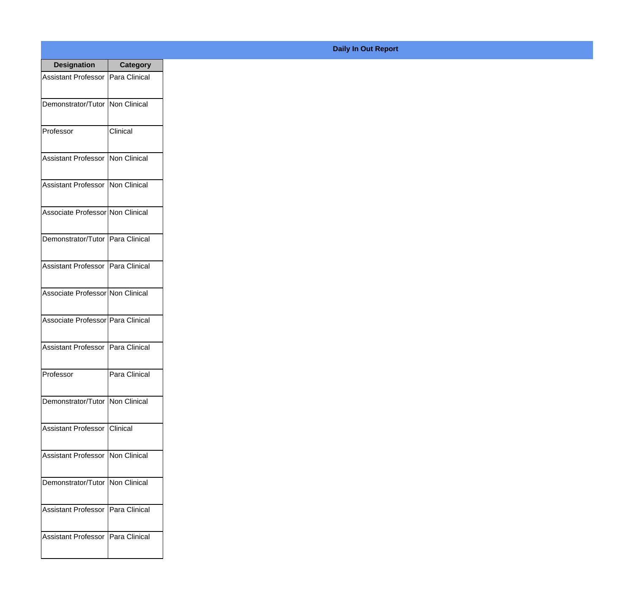| <b>Designation</b>                  | <b>Category</b> |
|-------------------------------------|-----------------|
| Assistant Professor   Para Clinical |                 |
| Demonstrator/Tutor   Non Clinical   |                 |
| Professor                           | Clinical        |
| <b>Assistant Professor</b>          | Non Clinical    |
| Assistant Professor   Non Clinical  |                 |
| Associate Professor Non Clinical    |                 |
| Demonstrator/Tutor   Para Clinical  |                 |
| Assistant Professor   Para Clinical |                 |
| Associate Professor Non Clinical    |                 |
| Associate Professor   Para Clinical |                 |
| <b>Assistant Professor</b>          | Para Clinical   |
| Professor                           | Para Clinical   |
| Demonstrator/Tutor   Non Clinical   |                 |
| Assistant Professor Clinical        |                 |
| Assistant Professor   Non Clinical  |                 |
| Demonstrator/Tutor   Non Clinical   |                 |
| <b>Assistant Professor</b>          | Para Clinical   |
| Assistant Professor   Para Clinical |                 |

## **Daily In Out Report**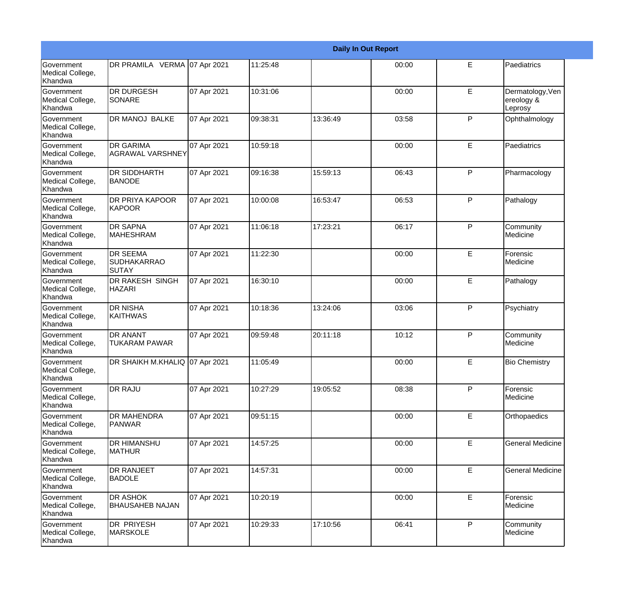|                                                  |                                                       |             |          |          | <b>Daily In Out Report</b> |              |                                           |
|--------------------------------------------------|-------------------------------------------------------|-------------|----------|----------|----------------------------|--------------|-------------------------------------------|
| Government<br>Medical College,<br>Khandwa        | DR PRAMILA VERMA 07 Apr 2021                          |             | 11:25:48 |          | 00:00                      | E            | Paediatrics                               |
| <b>Government</b><br>Medical College,<br>Khandwa | <b>DR DURGESH</b><br><b>SONARE</b>                    | 07 Apr 2021 | 10:31:06 |          | 00:00                      | E            | Dermatology, Ven<br>ereology &<br>Leprosy |
| <b>Government</b><br>Medical College,<br>Khandwa | DR MANOJ BALKE                                        | 07 Apr 2021 | 09:38:31 | 13:36:49 | 03:58                      | P            | Ophthalmology                             |
| <b>Government</b><br>Medical College,<br>Khandwa | <b>DR GARIMA</b><br><b>AGRAWAL VARSHNEY</b>           | 07 Apr 2021 | 10:59:18 |          | 00:00                      | E            | Paediatrics                               |
| Government<br>Medical College,<br>Khandwa        | <b>DR SIDDHARTH</b><br><b>BANODE</b>                  | 07 Apr 2021 | 09:16:38 | 15:59:13 | 06:43                      | P            | Pharmacology                              |
| <b>Government</b><br>Medical College,<br>Khandwa | DR PRIYA KAPOOR<br>KAPOOR                             | 07 Apr 2021 | 10:00:08 | 16:53:47 | 06:53                      | $\mathsf{P}$ | Pathalogy                                 |
| Government<br>Medical College,<br><b>Khandwa</b> | <b>DR SAPNA</b><br><b>MAHESHRAM</b>                   | 07 Apr 2021 | 11:06:18 | 17:23:21 | 06:17                      | P            | Community<br>Medicine                     |
| Government<br>Medical College,<br>Khandwa        | <b>DR SEEMA</b><br><b>SUDHAKARRAO</b><br><b>SUTAY</b> | 07 Apr 2021 | 11:22:30 |          | 00:00                      | E            | Forensic<br>Medicine                      |
| Government<br>Medical College,<br>Khandwa        | <b>DR RAKESH SINGH</b><br><b>HAZARI</b>               | 07 Apr 2021 | 16:30:10 |          | 00:00                      | E            | Pathalogy                                 |
| <b>Government</b><br>Medical College,<br>Khandwa | <b>DR NISHA</b><br><b>KAITHWAS</b>                    | 07 Apr 2021 | 10:18:36 | 13:24:06 | 03:06                      | $\mathsf{P}$ | Psychiatry                                |
| <b>Government</b><br>Medical College,<br>Khandwa | <b>DR ANANT</b><br><b>TUKARAM PAWAR</b>               | 07 Apr 2021 | 09:59:48 | 20:11:18 | 10:12                      | P            | Community<br>Medicine                     |
| Government<br>Medical College,<br>Khandwa        | DR SHAIKH M.KHALIQ 07 Apr 2021                        |             | 11:05:49 |          | 00:00                      | E            | <b>Bio Chemistry</b>                      |
| <b>Government</b><br>Medical College,<br>Khandwa | <b>DR RAJU</b>                                        | 07 Apr 2021 | 10:27:29 | 19:05:52 | 08:38                      | P            | Forensic<br>Medicine                      |
| Government<br>Medical College,<br>Khandwa        | <b>DR MAHENDRA</b><br><b>PANWAR</b>                   | 07 Apr 2021 | 09:51:15 |          | 00:00                      | E            | Orthopaedics                              |
| Government<br>Medical College,<br>Khandwa        | <b>DR HIMANSHU</b><br><b>MATHUR</b>                   | 07 Apr 2021 | 14:57:25 |          | 00:00                      | E            | <b>General Medicine</b>                   |
| Government<br>Medical College,<br>Khandwa        | <b>DR RANJEET</b><br><b>BADOLE</b>                    | 07 Apr 2021 | 14:57:31 |          | 00:00                      | E            | <b>General Medicine</b>                   |
| Government<br>Medical College,<br>Khandwa        | <b>DR ASHOK</b><br><b>BHAUSAHEB NAJAN</b>             | 07 Apr 2021 | 10:20:19 |          | 00:00                      | E            | Forensic<br>Medicine                      |
| Government<br>Medical College,<br>Khandwa        | DR PRIYESH<br><b>MARSKOLE</b>                         | 07 Apr 2021 | 10:29:33 | 17:10:56 | 06:41                      | P            | Community<br>Medicine                     |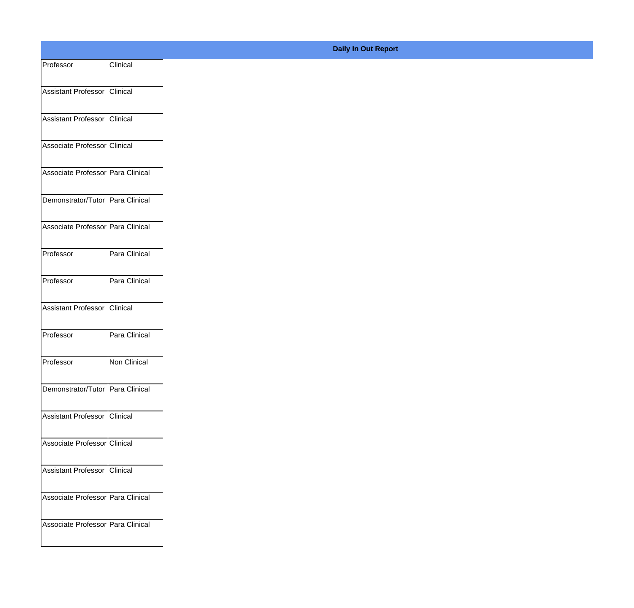| Professor                           | Clinical      |
|-------------------------------------|---------------|
| Assistant Professor Clinical        |               |
|                                     |               |
| Assistant Professor Clinical        |               |
| Associate Professor Clinical        |               |
|                                     |               |
| Associate Professor Para Clinical   |               |
| Demonstrator/Tutor Para Clinical    |               |
|                                     |               |
| Associate Professor Para Clinical   |               |
| Professor                           | Para Clinical |
|                                     |               |
| Professor                           | Para Clinical |
| Assistant Professor Clinical        |               |
|                                     |               |
| Professor                           | Para Clinical |
| Professor                           | Non Clinical  |
|                                     |               |
| Demonstrator/Tutor Para Clinical    |               |
| Assistant Professor Clinical        |               |
|                                     |               |
| Associate Professor Clinical        |               |
| Assistant Professor Clinical        |               |
|                                     |               |
| Associate Professor Para Clinical   |               |
| Associate Professor   Para Clinical |               |
|                                     |               |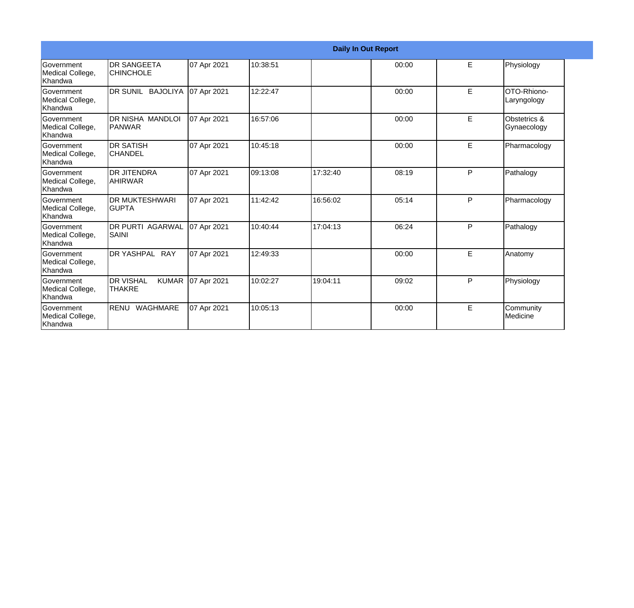|                                                  |                                                   |             |          |          | <b>Daily In Out Report</b> |    |                             |
|--------------------------------------------------|---------------------------------------------------|-------------|----------|----------|----------------------------|----|-----------------------------|
| Government<br>Medical College,<br><b>Khandwa</b> | <b>DR SANGEETA</b><br><b>CHINCHOLE</b>            | 07 Apr 2021 | 10:38:51 |          | 00:00                      | E. | Physiology                  |
| Government<br>Medical College,<br>Khandwa        | DR SUNIL BAJOLIYA                                 | 07 Apr 2021 | 12:22:47 |          | 00:00                      | E. | OTO-Rhiono-<br>Laryngology  |
| Government<br>Medical College,<br>Khandwa        | <b>DR NISHA MANDLOI</b><br><b>PANWAR</b>          | 07 Apr 2021 | 16:57:06 |          | 00:00                      | E  | Obstetrics &<br>Gynaecology |
| Government<br>Medical College,<br>Khandwa        | <b>DR SATISH</b><br><b>CHANDEL</b>                | 07 Apr 2021 | 10:45:18 |          | 00:00                      | E  | Pharmacology                |
| <b>Government</b><br>Medical College,<br>Khandwa | <b>DR JITENDRA</b><br><b>AHIRWAR</b>              | 07 Apr 2021 | 09:13:08 | 17:32:40 | 08:19                      | P  | Pathalogy                   |
| <b>Government</b><br>Medical College,<br>Khandwa | <b>DR MUKTESHWARI</b><br>IGUPTA                   | 07 Apr 2021 | 11:42:42 | 16:56:02 | 05:14                      | P  | Pharmacology                |
| Government<br>Medical College,<br>Khandwa        | <b>DR PURTI AGARWAL</b><br><b>SAINI</b>           | 07 Apr 2021 | 10:40:44 | 17:04:13 | 06:24                      | P  | Pathalogy                   |
| <b>Government</b><br>Medical College,<br>Khandwa | <b>DR YASHPAL RAY</b>                             | 07 Apr 2021 | 12:49:33 |          | 00:00                      | E  | Anatomy                     |
| Government<br>Medical College,<br>Khandwa        | <b>DR VISHAL</b><br><b>KUMAR</b><br><b>THAKRE</b> | 07 Apr 2021 | 10:02:27 | 19:04:11 | 09:02                      | P  | Physiology                  |
| <b>Government</b><br>Medical College,<br>Khandwa | RENU WAGHMARE                                     | 07 Apr 2021 | 10:05:13 |          | 00:00                      | E  | Community<br>Medicine       |